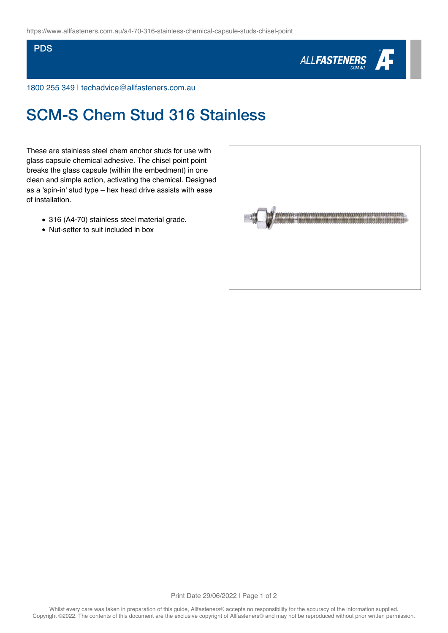## **PDS**



1800 255 349 | techadvice@allfasteners.com.au

## SCM-S Chem Stud 316 Stainless

These are stainless steel chem anchor studs for use with glass capsule chemical adhesive. The chisel point point breaks the glass capsule (within the embedment) in one clean and simple action, activating the chemical. Designed as a 'spin-in' stud type – hex head drive assists with ease of installation.

- 316 (A4-70) stainless steel material grade.
- Nut-setter to suit included in box